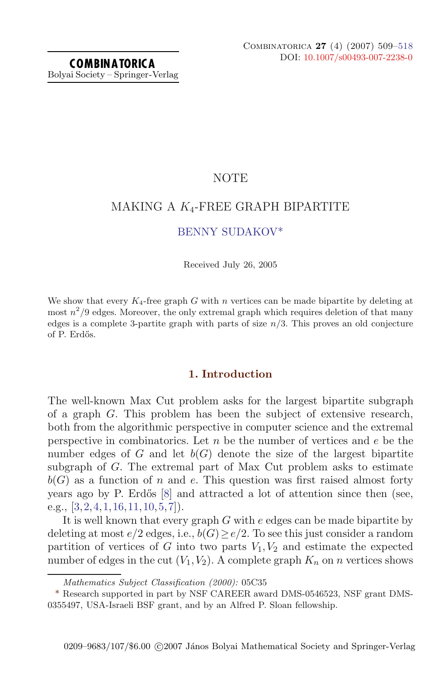## NOTE

# MAKING A  $K_4$ -FREE GRAPH BIPARTITE

## BENNY SUDAKOV\*

Received July 26, 2005

We show that every  $K_4$ -free graph G with n vertices can be made bipartite by deleting at most  $n^2/9$  edges. Moreover, the only extremal graph which requires deletion of that many edges is a complete 3-partite graph with parts of size  $n/3$ . This proves an old conjecture of P. Erdős.

### **1. Introduction**

The well-known Max Cut problem asks for the largest bipartite subgraph of a graph G. This problem has been the subject of extensive research, both from the algorithmic perspective in computer science and the extremal perspective in combinatorics. Let  $n$  be the number of vertices and  $e$  be the number edges of  $G$  and let  $b(G)$  denote the size of the largest bipartite subgraph of G. The extremal part of Max Cut problem asks to estimate  $b(G)$  as a function of n and e. This question was first raised almost forty years ago by P. Erdős  $[8]$  and attracted a lot of attention since then (see, e.g.,  $[3, 2, 4, 1, 16, 11, 10, 5, 7]$ .

It is well known that every graph G with e edges can be made bipartite by deleting at most  $e/2$  edges, i.e.,  $b(G) \ge e/2$ . To see this just consider a random partition of vertices of G into two parts  $V_1, V_2$  and estimate the expected number of edges in the cut  $(V_1, V_2)$ . A complete graph  $K_n$  on n vertices shows

Mathematics Subject Classification (2000): 05C35

<sup>\*</sup> Research supported in part by NSF CAREER award DMS-0546523, NSF grant DMS-0355497, USA-Israeli BSF grant, and by an Alfred P. Sloan fellowship.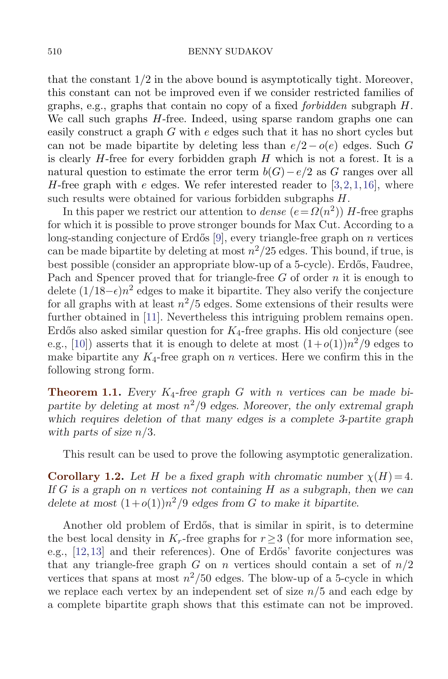#### 510 BENNY SUDAKOV

that the constant  $1/2$  in the above bound is asymptotically tight. Moreover, this constant can not be improved even if we consider restricted families of graphs, e.g., graphs that contain no copy of a fixed *forbidden* subgraph  $H$ . We call such graphs  $H$ -free. Indeed, using sparse random graphs one can easily construct a graph G with e edges such that it has no short cycles but can not be made bipartite by deleting less than  $e/2 - o(e)$  edges. Such G is clearly  $H$ -free for every forbidden graph  $H$  which is not a forest. It is a natural question to estimate the error term  $b(G) - e/2$  as G ranges over all H-free graph with e edges. We refer interested reader to  $[3,2,1,16]$ , where such results were obtained for various forbidden subgraphs  $H$ .

In this paper we restrict our attention to *dense*  $(e = \Omega(n^2))$  *H*-free graphs for which it is possible to prove stronger bounds for Max Cut. According to a long-standing conjecture of Erdős [9], every triangle-free graph on  $n$  vertices can be made bipartite by deleting at most  $n^2/25$  edges. This bound, if true, is best possible (consider an appropriate blow-up of a 5-cycle). Erdős, Faudree, Pach and Spencer proved that for triangle-free  $G$  of order  $n$  it is enough to delete  $(1/18-\epsilon)n^2$  edges to make it bipartite. They also verify the conjecture for all graphs with at least  $n^2/5$  edges. Some extensions of their results were further obtained in [11]. Nevertheless this intriguing problem remains open. Erdős also asked similar question for  $K_4$ -free graphs. His old conjecture (see e.g., [10]) asserts that it is enough to delete at most  $(1+o(1))n^2/9$  edges to make bipartite any  $K_4$ -free graph on *n* vertices. Here we confirm this in the following strong form.

**Theorem 1.1.** Every  $K_4$ -free graph G with n vertices can be made bipartite by deleting at most  $n^2/\overline{9}$  edges. Moreover, the only extremal graph which requires deletion of that many edges is a complete 3-partite graph with parts of size  $n/3$ .

This result can be used to prove the following asymptotic generalization.

**Corollary 1.2.** Let H be a fixed graph with chromatic number  $\chi(H) = 4$ . If G is a graph on n vertices not containing H as a subgraph, then we can delete at most  $(1+o(1))n^2/9$  edges from G to make it bipartite.

Another old problem of Erdős, that is similar in spirit, is to determine the best local density in  $K_r$ -free graphs for  $r \geq 3$  (for more information see, e.g., [12,13] and their references). One of Erdős' favorite conjectures was that any triangle-free graph G on n vertices should contain a set of  $n/2$ vertices that spans at most  $n^2/50$  edges. The blow-up of a 5-cycle in which we replace each vertex by an independent set of size  $n/5$  and each edge by a complete bipartite graph shows that this estimate can not be improved.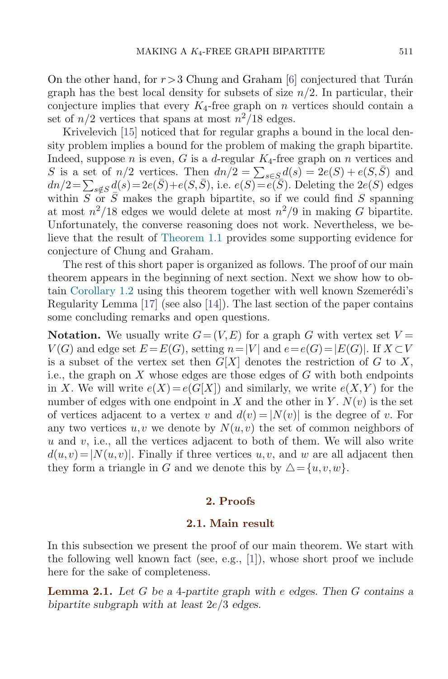On the other hand, for  $r > 3$  Chung and Graham [6] conjectured that Turán graph has the best local density for subsets of size  $n/2$ . In particular, their conjecture implies that every  $K_4$ -free graph on n vertices should contain a set of  $n/2$  vertices that spans at most  $n^2/18$  edges.

Krivelevich [15] noticed that for regular graphs a bound in the local density problem implies a bound for the problem of making the graph bipartite. Indeed, suppose n is even, G is a d-regular  $K_4$ -free graph on n vertices and S is a set of  $n/2$  vertices. Then  $dn/2 = \sum_{s \in S} d(s) = 2e(S) + e(S,\bar{S})$  and  $dn/2 = \sum_{s \notin S} d(s) = 2e(\bar{S}) + e(S, \bar{S})$ , i.e.  $e(S) = e(\bar{S})$ . Deleting the  $2e(S)$  edges within  $S \nightharpoonup S \nightharpoonup S$  makes the graph bipartite, so if we could find S spanning at most  $n^2/18$  edges we would delete at most  $n^2/9$  in making G bipartite. Unfortunately, the converse reasoning does not work. Nevertheless, we believe that the result of Theorem 1.1 provides some supporting evidence for conjecture of Chung and Graham.

The rest of this short paper is organized as follows. The proof of our main theorem appears in the beginning of next section. Next we show how to obtain Corollary 1.2 using this theorem together with well known Szemerédi's Regularity Lemma [17] (see also [14]). The last section of the paper contains some concluding remarks and open questions.

**Notation.** We usually write  $G = (V, E)$  for a graph G with vertex set  $V =$  $V(G)$  and edge set  $E = E(G)$ , setting  $n = |V|$  and  $e = e(G) = |E(G)|$ . If  $X \subset V$ is a subset of the vertex set then  $G[X]$  denotes the restriction of G to X, i.e., the graph on X whose edges are those edges of  $G$  with both endpoints in X. We will write  $e(X) = e(G[X])$  and similarly, we write  $e(X, Y)$  for the number of edges with one endpoint in X and the other in Y.  $N(v)$  is the set of vertices adjacent to a vertex v and  $d(v) = |N(v)|$  is the degree of v. For any two vertices  $u, v$  we denote by  $N(u, v)$  the set of common neighbors of  $u$  and  $v$ , i.e., all the vertices adjacent to both of them. We will also write  $d(u,v)=|N(u,v)|$ . Finally if three vertices  $u,v$ , and w are all adjacent then they form a triangle in G and we denote this by  $\triangle = \{u, v, w\}.$ 

### **2. Proofs**

### **2.1. Main result**

In this subsection we present the proof of our main theorem. We start with the following well known fact (see, e.g., [1]), whose short proof we include here for the sake of completeness.

**Lemma 2.1.** Let  $G$  be a 4-partite graph with e edges. Then  $G$  contains a bipartite subgraph with at least  $2e/3$  edges.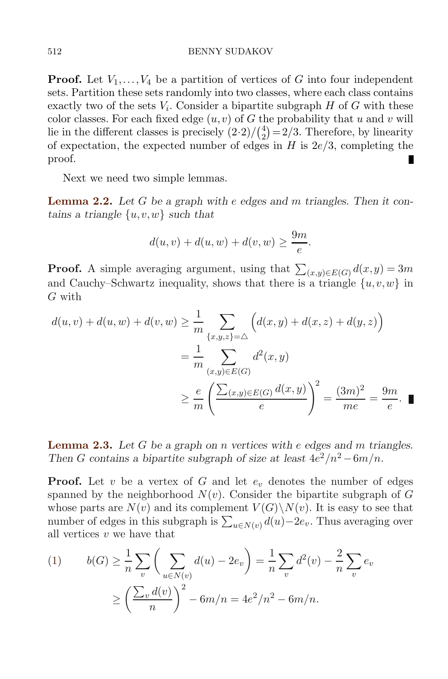**Proof.** Let  $V_1, \ldots, V_4$  be a partition of vertices of G into four independent sets. Partition these sets randomly into two classes, where each class contains exactly two of the sets  $V_i$ . Consider a bipartite subgraph  $H$  of  $G$  with these color classes. For each fixed edge  $(u, v)$  of G the probability that u and v will lie in the different classes is precisely  $(2\cdot 2)/(2\choose 2) = 2/3$ . Therefore, by linearity of expectation, the expected number of edges in  $H$  is  $2e/3$ , completing the proof. П

Next we need two simple lemmas.

**Lemma 2.2.** Let G be a graph with e edges and m triangles. Then it contains a triangle  $\{u, v, w\}$  such that

$$
d(u, v) + d(u, w) + d(v, w) \ge \frac{9m}{e}.
$$

**Proof.** A simple averaging argument, using that  $\sum_{(x,y)\in E(G)} d(x,y) = 3m$ and Cauchy–Schwartz inequality, shows that there is a triangle  $\{u, v, w\}$  in G with

$$
d(u, v) + d(u, w) + d(v, w) \ge \frac{1}{m} \sum_{\{x, y, z\} = \triangle} \left( d(x, y) + d(x, z) + d(y, z) \right)
$$
  
= 
$$
\frac{1}{m} \sum_{(x, y) \in E(G)} d^{2}(x, y)
$$
  

$$
\ge \frac{e}{m} \left( \frac{\sum_{(x, y) \in E(G)} d(x, y)}{e} \right)^{2} = \frac{(3m)^{2}}{me} = \frac{9m}{e}.
$$

**Lemma 2.3.** Let  $G$  be a graph on  $n$  vertices with  $e$  edges and  $m$  triangles. Then G contains a bipartite subgraph of size at least  $4e^2/n^2 - 6m/n$ .

**Proof.** Let v be a vertex of G and let  $e_v$  denotes the number of edges spanned by the neighborhood  $N(v)$ . Consider the bipartite subgraph of G whose parts are  $N(v)$  and its complement  $V(G)\backslash N(v)$ . It is easy to see that number of edges in this subgraph is  $\sum_{u \in N(v)} d(u) - 2e_v$ . Thus averaging over all vertices  $v$  we have that

(1) 
$$
b(G) \ge \frac{1}{n} \sum_{v} \left( \sum_{u \in N(v)} d(u) - 2e_v \right) = \frac{1}{n} \sum_{v} d^2(v) - \frac{2}{n} \sum_{v} e_v
$$

$$
\ge \left( \frac{\sum_{v} d(v)}{n} \right)^2 - 6m/n = 4e^2/n^2 - 6m/n.
$$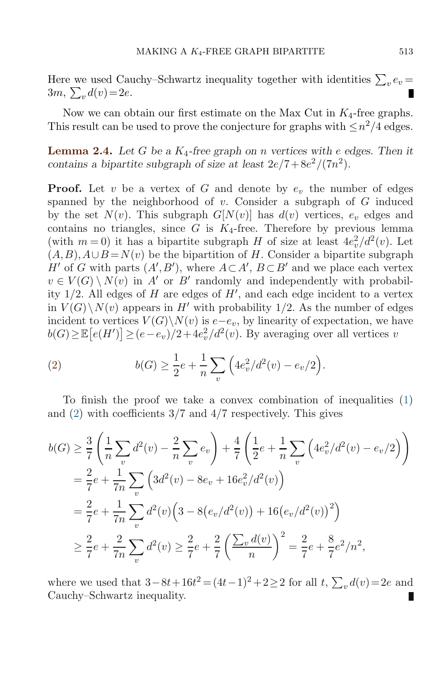Here we used Cauchy–Schwartz inequality together with identities  $\sum_{v} e_v =$  $3m, \sum_v d(v) = 2e.$ 

Now we can obtain our first estimate on the Max Cut in  $K_4$ -free graphs. This result can be used to prove the conjecture for graphs with  $\leq n^2/4$  edges.

**Lemma 2.4.** Let G be a  $K_4$ -free graph on n vertices with e edges. Then it contains a bipartite subgraph of size at least  $2e/7+8e^2/(7n^2)$ .

**Proof.** Let v be a vertex of G and denote by  $e_v$  the number of edges spanned by the neighborhood of  $v$ . Consider a subgraph of  $G$  induced by the set  $N(v)$ . This subgraph  $G[N(v)]$  has  $d(v)$  vertices,  $e_v$  edges and contains no triangles, since  $G$  is  $K_4$ -free. Therefore by previous lemma (with  $m = 0$ ) it has a bipartite subgraph H of size at least  $4e_v^2/d^2(v)$ . Let  $(A, B), A \cup B = N(v)$  be the bipartition of H. Consider a bipartite subgraph  $H'$  of G with parts  $(A', B')$ , where  $A \subset A', B \subset B'$  and we place each vertex  $v \in V(G) \setminus N(v)$  in A' or B' randomly and independently with probability  $1/2$ . All edges of H are edges of H', and each edge incident to a vertex in  $V(G)\backslash N(v)$  appears in H' with probability 1/2. As the number of edges incident to vertices  $V(G)\backslash N(v)$  is  $e-e_v$ , by linearity of expectation, we have  $b(G) \geq \mathbb{E}\big[e(H')\big] \geq (e-e_v)/2 + 4e_v^2/d^2(v)$ . By averaging over all vertices v

(2) 
$$
b(G) \ge \frac{1}{2}e + \frac{1}{n}\sum_{v} \left(4e_v^2/d^2(v) - e_v/2\right).
$$

To finish the proof we take a convex combination of inequalities (1) and (2) with coefficients 3/7 and 4/7 respectively. This gives

$$
b(G) \geq \frac{3}{7} \left( \frac{1}{n} \sum_{v} d^{2}(v) - \frac{2}{n} \sum_{v} e_{v} \right) + \frac{4}{7} \left( \frac{1}{2} e + \frac{1}{n} \sum_{v} \left( 4e_{v}^{2}/d^{2}(v) - e_{v}/2 \right) \right)
$$
  
\n
$$
= \frac{2}{7} e + \frac{1}{7n} \sum_{v} \left( 3d^{2}(v) - 8e_{v} + 16e_{v}^{2}/d^{2}(v) \right)
$$
  
\n
$$
= \frac{2}{7} e + \frac{1}{7n} \sum_{v} d^{2}(v) \left( 3 - 8\left( e_{v}/d^{2}(v) \right) + 16\left( e_{v}/d^{2}(v) \right)^{2} \right)
$$
  
\n
$$
\geq \frac{2}{7} e + \frac{2}{7n} \sum_{v} d^{2}(v) \geq \frac{2}{7} e + \frac{2}{7} \left( \frac{\sum_{v} d(v)}{n} \right)^{2} = \frac{2}{7} e + \frac{8}{7} e^{2}/n^{2},
$$

where we used that  $3-8t+16t^2 = (4t-1)^2 + 2 \ge 2$  for all  $t, \sum_v d(v) = 2e$  and Cauchy–Schwartz inequality.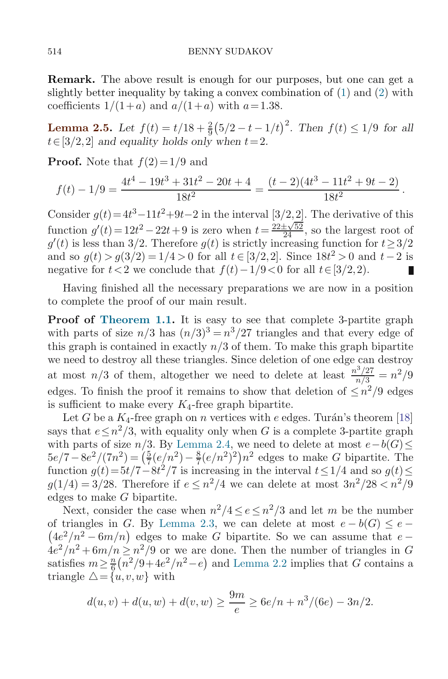**Remark.** The above result is enough for our purposes, but one can get a slightly better inequality by taking a convex combination of (1) and (2) with coefficients  $1/(1+a)$  and  $a/(1+a)$  with  $a=1.38$ .

**Lemma 2.5.** Let  $f(t) = t/18 + \frac{2}{9}(5/2 - t - 1/t)^2$ . Then  $f(t) \le 1/9$  for all  $t\in[3/2,2]$  and equality holds only when  $t=2$ .

**Proof.** Note that  $f(2)=1/9$  and

$$
f(t) - 1/9 = \frac{4t^4 - 19t^3 + 31t^2 - 20t + 4}{18t^2} = \frac{(t - 2)(4t^3 - 11t^2 + 9t - 2)}{18t^2}.
$$

Consider  $g(t) = 4t^3 - 11t^2 + 9t - 2$  in the interval  $\left[\frac{3}{2}, \frac{2}{2}\right]$ . The derivative of this function  $g'(t) = 12t^2 - 22t + 9$  is zero when  $t = \frac{22 \pm \sqrt{52}}{24}$ , so the largest root of  $g'(t)$  is less than 3/2. Therefore  $g(t)$  is strictly increasing function for  $t \geq 3/2$ and so  $g(t) > g(3/2) = 1/4 > 0$  for all  $t \in [3/2,2]$ . Since  $18t^2 > 0$  and  $t-2$  is negative for  $t < 2$  we conclude that  $f(t) - 1/9 < 0$  for all  $t \in [3/2, 2)$ . П

Having finished all the necessary preparations we are now in a position to complete the proof of our main result.

**Proof of Theorem 1.1.** It is easy to see that complete 3-partite graph with parts of size  $n/3$  has  $(n/3)^3 = n^3/27$  triangles and that every edge of this graph is contained in exactly  $n/3$  of them. To make this graph bipartite we need to destroy all these triangles. Since deletion of one edge can destroy at most  $n/3$  of them, altogether we need to delete at least  $\frac{n^3/27}{n/3} = n^2/9$ edges. To finish the proof it remains to show that deletion of  $\leq n^2/9$  edges is sufficient to make every  $K_4$ -free graph bipartite.

Let G be a  $K_4$ -free graph on n vertices with e edges. Turán's theorem [18] says that  $e \leq n^2/3$ , with equality only when G is a complete 3-partite graph with parts of size  $n/3$ . By Lemma 2.4, we need to delete at most  $e-b(G) \leq$  $5e/7 - 8e^2/(7n^2) = \left(\frac{5}{7}(e/n^2) - \frac{8}{7}(e/n^2)^2\right)n^2$  edges to make G bipartite. The function  $g(t)=5t/7-8t^2/7$  is increasing in the interval  $t\leq 1/4$  and so  $g(t)\leq$  $g(1/4) = 3/28$ . Therefore if  $e \leq n^2/4$  we can delete at most  $3n^2/28 < n^2/9$ edges to make G bipartite.

Next, consider the case when  $n^2/4 \le e \le n^2/3$  and let m be the number  $(4e^2/n^2 - 6m/n)$  edges to make G bipartite. So we can assume that  $e$ of triangles in G. By Lemma 2.3, we can delete at most  $e - b(G) \leq e$  $4e^2/n^2 + 6m/n \leq n^2/9$  or we are done. Then the number of triangles in G satisfies  $m \geq \frac{n}{6}(n^2/9 + 4e^2/n^2 - e)$  and Lemma 2.2 implies that G contains a triangle  $\Delta = \{u, v, w\}$  with

$$
d(u, v) + d(u, w) + d(v, w) \ge \frac{9m}{e} \ge 6e/n + n^3/(6e) - 3n/2.
$$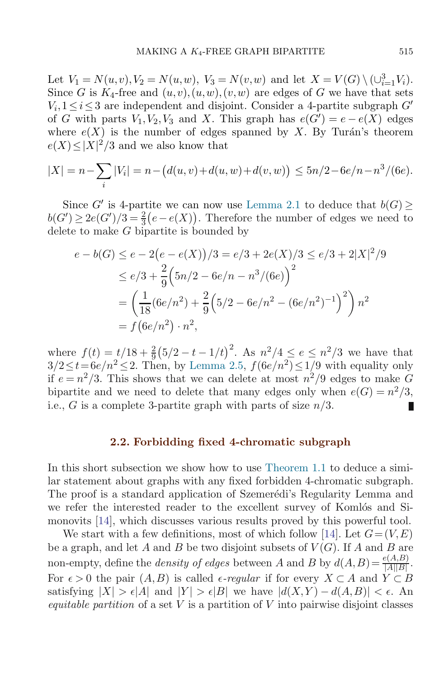Let  $V_1 = N(u, v), V_2 = N(u, w), V_3 = N(v, w)$  and let  $X = V(G) \setminus (\cup_{i=1}^3 V_i)$ . Since G is  $K_4$ -free and  $(u, v), (u, w), (v, w)$  are edges of G we have that sets  $V_i, 1 \leq i \leq 3$  are independent and disjoint. Consider a 4-partite subgraph  $G'$ of G with parts  $V_1, V_2, V_3$  and X. This graph has  $e(G') = e - e(X)$  edges where  $e(X)$  is the number of edges spanned by X. By Turán's theorem  $e(X) \leq |X|^2/3$  and we also know that

$$
|X| = n - \sum_{i} |V_i| = n - \left(d(u, v) + d(u, w) + d(v, w)\right) \le 5n/2 - 6e/n - n^3/(6e).
$$

Since G' is 4-partite we can now use Lemma 2.1 to deduce that  $b(G)$  $b(G') \geq 2e(G')/3 = \frac{2}{3}(e - e(X))$ . Therefore the number of edges we need to delete to make G bipartite is bounded by

$$
e - b(G) \le e - 2(e - e(X))/3 = e/3 + 2e(X)/3 \le e/3 + 2|X|^2/9
$$
  
\n
$$
\le e/3 + \frac{2}{9} (5n/2 - 6e/n - n^3/(6e))^2
$$
  
\n
$$
= \left(\frac{1}{18} (6e/n^2) + \frac{2}{9} (5/2 - 6e/n^2 - (6e/n^2)^{-1})^2\right) n^2
$$
  
\n
$$
= f(6e/n^2) \cdot n^2,
$$

where  $f(t) = t/18 + \frac{2}{9}(5/2 - t - 1/t)^2$ . As  $n^2/4 \le e \le n^2/3$  we have that  $3/2 \leq t = 6e/n^2 \leq 2$ . Then, by Lemma 2.5,  $f(6e/n^2) \leq 1/9$  with equality only if  $e = n^2/3$ . This shows that we can delete at most  $n^2/9$  edges to make G bipartite and we need to delete that many edges only when  $e(G) = n^2/3$ , i.e., G is a complete 3-partite graph with parts of size  $n/3$ .

### **2.2. Forbidding fixed 4-chromatic subgraph**

In this short subsection we show how to use Theorem 1.1 to deduce a similar statement about graphs with any fixed forbidden 4-chromatic subgraph. The proof is a standard application of Szemerédi's Regularity Lemma and we refer the interested reader to the excellent survey of Komlós and Simonovits [14], which discusses various results proved by this powerful tool.

We start with a few definitions, most of which follow [14]. Let  $G = (V, E)$ be a graph, and let A and B be two disjoint subsets of  $V(G)$ . If A and B are non-empty, define the *density of edges* between A and B by  $d(A, B) = \frac{e(A, B)}{|A||B|}$ . For  $\epsilon > 0$  the pair  $(A, B)$  is called  $\epsilon$ -regular if for every  $X \subset A$  and  $Y \subset B$ satisfying  $|X| > \epsilon |A|$  and  $|Y| > \epsilon |B|$  we have  $|d(X,Y) - d(A,B)| < \epsilon$ . An equitable partition of a set  $V$  is a partition of  $V$  into pairwise disjoint classes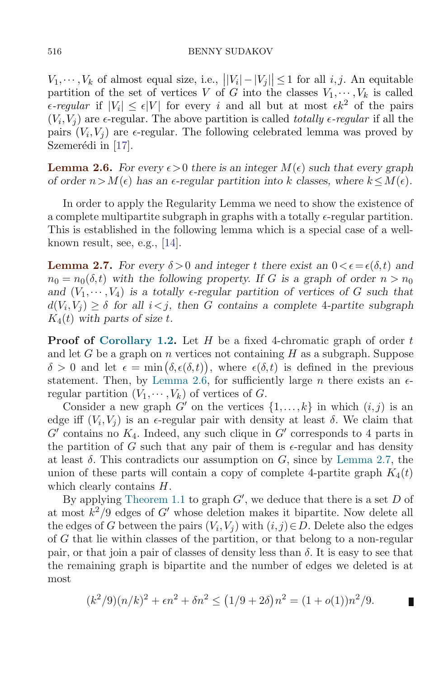$V_1, \dots, V_k$  of almost equal size, i.e.,  $||V_i| - |V_j|| \le 1$  for all *i, j.* An equitable partition of the set of vertices V of G into the classes  $V_1, \dots, V_k$  is called  $\epsilon$ -regular if  $|V_i| \leq \epsilon |V|$  for every i and all but at most  $\epsilon k^2$  of the pairs  $(V_i, V_j)$  are  $\epsilon$ -regular. The above partition is called *totally*  $\epsilon$ -regular if all the pairs  $(V_i, V_j)$  are  $\epsilon$ -regular. The following celebrated lemma was proved by Szemerédi in  $[17]$ .

**Lemma 2.6.** For every  $\epsilon > 0$  there is an integer  $M(\epsilon)$  such that every graph of order  $n>M(\epsilon)$  has an  $\epsilon$ -regular partition into k classes, where  $k\leq M(\epsilon)$ .

In order to apply the Regularity Lemma we need to show the existence of a complete multipartite subgraph in graphs with a totally  $\epsilon$ -regular partition. This is established in the following lemma which is a special case of a wellknown result, see, e.g., [14].

**Lemma 2.7.** For every  $\delta > 0$  and integer t there exist an  $0 < \epsilon = \epsilon(\delta, t)$  and  $n_0 = n_0(\delta, t)$  with the following property. If G is a graph of order  $n > n_0$ and  $(V_1,\dots, V_4)$  is a totally e-regular partition of vertices of G such that  $d(V_i,V_j) \geq \delta$  for all  $i < j$ , then G contains a complete 4-partite subgraph  $K_4(t)$  with parts of size t.

**Proof of Corollary 1.2.** Let H be a fixed 4-chromatic graph of order t and let G be a graph on n vertices not containing  $H$  as a subgraph. Suppose  $\delta > 0$  and let  $\epsilon = \min(\delta, \epsilon(\delta, t))$ , where  $\epsilon(\delta, t)$  is defined in the previous statement. Then, by Lemma 2.6, for sufficiently large n there exists an  $\epsilon$ regular partition  $(V_1, \dots, V_k)$  of vertices of G.

Consider a new graph G' on the vertices  $\{1,\ldots,k\}$  in which  $(i,j)$  is an edge iff  $(V_i, V_j)$  is an  $\epsilon$ -regular pair with density at least  $\delta$ . We claim that  $G'$  contains no  $K_4$ . Indeed, any such clique in  $G'$  corresponds to 4 parts in the partition of G such that any pair of them is  $\epsilon$ -regular and has density at least  $\delta$ . This contradicts our assumption on G, since by Lemma 2.7, the union of these parts will contain a copy of complete 4-partite graph  $K_4(t)$ which clearly contains  $H$ .

By applying Theorem 1.1 to graph  $G'$ , we deduce that there is a set D of at most  $k^2/9$  edges of G' whose deletion makes it bipartite. Now delete all the edges of G between the pairs  $(V_i, V_j)$  with  $(i, j) \in D$ . Delete also the edges of G that lie within classes of the partition, or that belong to a non-regular pair, or that join a pair of classes of density less than  $\delta$ . It is easy to see that the remaining graph is bipartite and the number of edges we deleted is at most

$$
(k2/9)(n/k)2 + \epsilon n2 + \delta n2 \le (1/9 + 2\delta)n2 = (1 + o(1))n2/9.
$$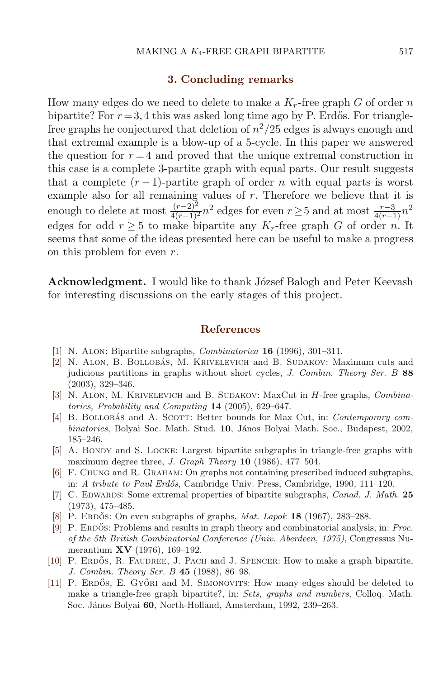#### **3. Concluding remarks**

How many edges do we need to delete to make a  $K_r$ -free graph G of order n bipartite? For  $r = 3,4$  this was asked long time ago by P. Erdős. For trianglefree graphs he conjectured that deletion of  $n^2/25$  edges is always enough and that extremal example is a blow-up of a 5-cycle. In this paper we answered the question for  $r = 4$  and proved that the unique extremal construction in this case is a complete 3-partite graph with equal parts. Our result suggests that a complete  $(r-1)$ -partite graph of order n with equal parts is worst example also for all remaining values of r. Therefore we believe that it is enough to delete at most  $\frac{(r-2)^2}{4(r-1)^2}n^2$  edges for even  $r\geq 5$  and at most  $\frac{r-3}{4(r-1)}n^2$ edges for odd  $r \geq 5$  to make bipartite any  $K_r$ -free graph G of order n. It seems that some of the ideas presented here can be useful to make a progress on this problem for even r.

**Acknowledgment.** I would like to thank József Balogh and Peter Keevash for interesting discussions on the early stages of this project.

### **References**

- [1] N. Alon: Bipartite subgraphs, Combinatorica **16** (1996), 301–311.
- [2] N. ALON, B. BOLLOBÁS, M. KRIVELEVICH and B. SUDAKOV: Maximum cuts and judicious partitions in graphs without short cycles, J. Combin. Theory Ser. B **88** (2003), 329–346.
- [3] N. ALON, M. KRIVELEVICH and B. SUDAKOV: MaxCut in *H*-free graphs, *Combina*torics, Probability and Computing **14** (2005), 629–647.
- [4] B. BOLLOBAS and A. SCOTT: Better bounds for Max Cut, in: Contemporary combinatorics, Bolyai Soc. Math. Stud. **10**, János Bolyai Math. Soc., Budapest, 2002, 185–246.
- [5] A. BONDY and S. LOCKE: Largest bipartite subgraphs in triangle-free graphs with maximum degree three, J. Graph Theory **10** (1986), 477–504.
- [6] F. Chung and R. Graham: On graphs not containing prescribed induced subgraphs, in: A tribute to Paul Erdős, Cambridge Univ. Press, Cambridge, 1990, 111–120.
- [7] C. Edwards: Some extremal properties of bipartite subgraphs, Canad. J. Math. **25** (1973), 475–485.
- [8] P. ERDOS: On even subgraphs of graphs,  $Mat. Lapok$  **18** (1967), 283–288.
- [9] P. ERDŐS: Problems and results in graph theory and combinatorial analysis, in: Proc. of the 5th British Combinatorial Conference (Univ. Aberdeen, 1975), Congressus Numerantium **XV** (1976), 169–192.
- [10] P. ERDŐS, R. FAUDREE, J. PACH and J. SPENCER: How to make a graph bipartite, J. Combin. Theory Ser. B **45** (1988), 86–98.
- [11] P. ERDŐS, E. GYŐRI and M. SIMONOVITS: How many edges should be deleted to make a triangle-free graph bipartite?, in: Sets, graphs and numbers, Colloq. Math. Soc. János Bolyai 60, North-Holland, Amsterdam, 1992, 239–263.